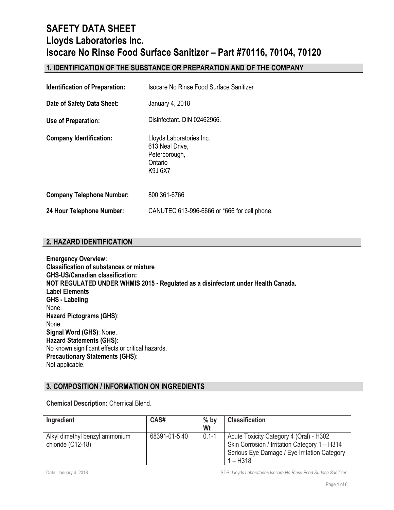## **1. IDENTIFICATION OF THE SUBSTANCE OR PREPARATION AND OF THE COMPANY**

| <b>Identification of Preparation:</b> | Isocare No Rinse Food Surface Sanitizer                                                   |
|---------------------------------------|-------------------------------------------------------------------------------------------|
| Date of Safety Data Sheet:            | January 4, 2018                                                                           |
| Use of Preparation:                   | Disinfectant. DIN 02462966.                                                               |
| <b>Company Identification:</b>        | Lloyds Laboratories Inc.<br>613 Neal Drive,<br>Peterborough,<br>Ontario<br><b>K9J 6X7</b> |
| <b>Company Telephone Number:</b>      | 800 361-6766                                                                              |
| 24 Hour Telephone Number:             | CANUTEC 613-996-6666 or *666 for cell phone.                                              |

### **2. HAZARD IDENTIFICATION**

**Emergency Overview: Classification of substances or mixture GHS-US/Canadian classification: NOT REGULATED UNDER WHMIS 2015 - Regulated as a disinfectant under Health Canada. Label Elements GHS - Labeling** None. **Hazard Pictograms (GHS)**: None. **Signal Word (GHS)**: None. **Hazard Statements (GHS)**: No known significant effects or critical hazards. **Precautionary Statements (GHS)**: Not applicable.

### **3. COMPOSITION / INFORMATION ON INGREDIENTS**

**Chemical Description:** Chemical Blend.

| Ingredient                                          | CAS#         | $%$ by<br>Wt | <b>Classification</b>                                                                                                                                  |
|-----------------------------------------------------|--------------|--------------|--------------------------------------------------------------------------------------------------------------------------------------------------------|
| Alkyl dimethyl benzyl ammonium<br>chloride (C12-18) | 68391-01-540 | $0.1 - 1$    | Acute Toxicity Category 4 (Oral) - H302<br>Skin Corrosion / Irritation Category 1 - H314<br>Serious Eye Damage / Eye Irritation Category<br>$1 - H318$ |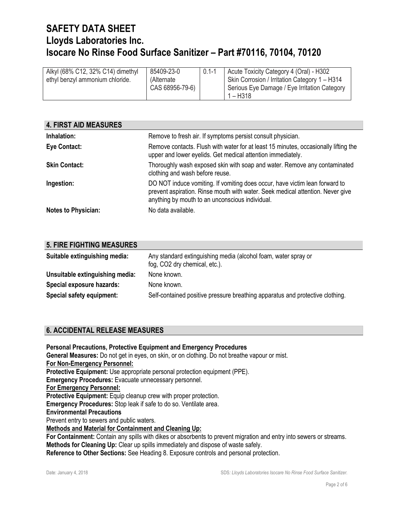| Alkyl (68% C12, 32% C14) dimethyl<br>ethyl benzyl ammonium chloride. | 85409-23-0<br>(Alternate)<br>CAS 68956-79-6) | $0.1 - 1$ | Acute Toxicity Category 4 (Oral) - H302<br>Skin Corrosion / Irritation Category 1 - H314<br>Serious Eye Damage / Eye Irritation Category<br>1 – H318 |
|----------------------------------------------------------------------|----------------------------------------------|-----------|------------------------------------------------------------------------------------------------------------------------------------------------------|
|----------------------------------------------------------------------|----------------------------------------------|-----------|------------------------------------------------------------------------------------------------------------------------------------------------------|

| <b>4. FIRST AID MEASURES</b> |                                                                                                                                                                                                                  |
|------------------------------|------------------------------------------------------------------------------------------------------------------------------------------------------------------------------------------------------------------|
| Inhalation:                  | Remove to fresh air. If symptoms persist consult physician.                                                                                                                                                      |
| Eye Contact:                 | Remove contacts. Flush with water for at least 15 minutes, occasionally lifting the<br>upper and lower eyelids. Get medical attention immediately.                                                               |
| <b>Skin Contact:</b>         | Thoroughly wash exposed skin with soap and water. Remove any contaminated<br>clothing and wash before reuse.                                                                                                     |
| Ingestion:                   | DO NOT induce vomiting. If vomiting does occur, have victim lean forward to<br>prevent aspiration. Rinse mouth with water. Seek medical attention. Never give<br>anything by mouth to an unconscious individual. |
| <b>Notes to Physician:</b>   | No data available.                                                                                                                                                                                               |

| <b>5. FIRE FIGHTING MEASURES</b> |                                                                                                 |
|----------------------------------|-------------------------------------------------------------------------------------------------|
| Suitable extinguishing media:    | Any standard extinguishing media (alcohol foam, water spray or<br>fog, CO2 dry chemical, etc.). |
| Unsuitable extinguishing media:  | None known.                                                                                     |
| Special exposure hazards:        | None known.                                                                                     |
| Special safety equipment:        | Self-contained positive pressure breathing apparatus and protective clothing.                   |

## **6. ACCIDENTAL RELEASE MEASURES**

**Personal Precautions, Protective Equipment and Emergency Procedures General Measures:** Do not get in eyes, on skin, or on clothing. Do not breathe vapour or mist. **For Non-Emergency Personnel: Protective Equipment:** Use appropriate personal protection equipment (PPE). **Emergency Procedures:** Evacuate unnecessary personnel. **For Emergency Personnel: Protective Equipment:** Equip cleanup crew with proper protection. **Emergency Procedures:** Stop leak if safe to do so. Ventilate area. **Environmental Precautions** Prevent entry to sewers and public waters. **Methods and Material for Containment and Cleaning Up: For Containment:** Contain any spills with dikes or absorbents to prevent migration and entry into sewers or streams. **Methods for Cleaning Up:** Clear up spills immediately and dispose of waste safely. **Reference to Other Sections:** See Heading 8. Exposure controls and personal protection.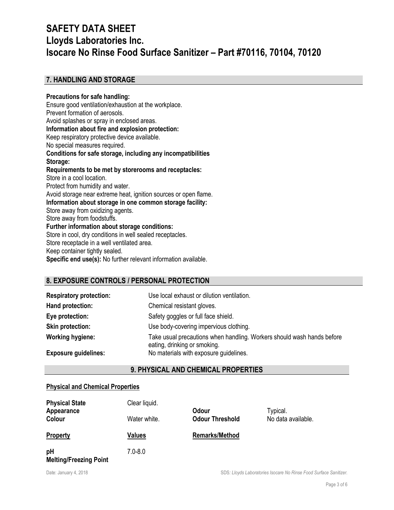## **7. HANDLING AND STORAGE**

#### **Precautions for safe handling:** Ensure good ventilation/exhaustion at the workplace. Prevent formation of aerosols. Avoid splashes or spray in enclosed areas. **Information about fire and explosion protection:** Keep respiratory protective device available. No special measures required. **Conditions for safe storage, including any incompatibilities Storage: Requirements to be met by storerooms and receptacles:** Store in a cool location. Protect from humidity and water. Avoid storage near extreme heat, ignition sources or open flame. **Information about storage in one common storage facility:** Store away from oxidizing agents. Store away from foodstuffs. **Further information about storage conditions:** Store in cool, dry conditions in well sealed receptacles. Store receptacle in a well ventilated area. Keep container tightly sealed. **Specific end use(s):** No further relevant information available.

## **8. EXPOSURE CONTROLS / PERSONAL PROTECTION**

| <b>Respiratory protection:</b> | Use local exhaust or dilution ventilation.                                                             |
|--------------------------------|--------------------------------------------------------------------------------------------------------|
| Hand protection:               | Chemical resistant gloves.                                                                             |
| Eye protection:                | Safety goggles or full face shield.                                                                    |
| <b>Skin protection:</b>        | Use body-covering impervious clothing.                                                                 |
| <b>Working hygiene:</b>        | Take usual precautions when handling. Workers should wash hands before<br>eating, drinking or smoking. |
| <b>Exposure guidelines:</b>    | No materials with exposure guidelines.                                                                 |

### **9. PHYSICAL AND CHEMICAL PROPERTIES**

#### **Physical and Chemical Properties**

| <b>Physical State</b><br>Appearance | Clear liquid. | <b>Odour</b>           | Typical.           |
|-------------------------------------|---------------|------------------------|--------------------|
| Colour                              | Water white.  | <b>Odour Threshold</b> | No data available. |
| <b>Property</b>                     | Values        | <b>Remarks/Method</b>  |                    |
| pH<br><b>Melting/Freezing Point</b> | $7.0 - 8.0$   |                        |                    |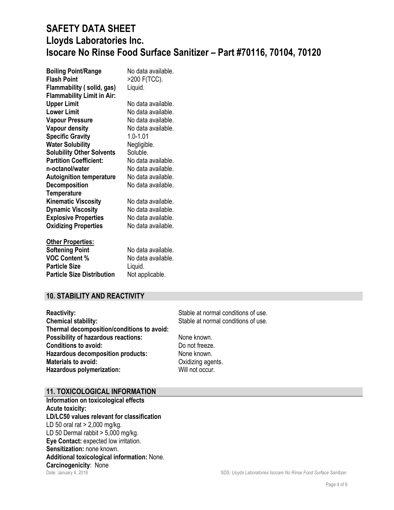| <b>Boiling Point/Range</b>        | No data available. |
|-----------------------------------|--------------------|
| <b>Flash Point</b>                | >200 F(TCC).       |
| Flammability (solid, gas)         | Liquid.            |
| <b>Flammability Limit in Air:</b> |                    |
| <b>Upper Limit</b>                | No data available. |
| <b>Lower Limit</b>                | No data available. |
| <b>Vapour Pressure</b>            | No data available. |
| <b>Vapour density</b>             | No data available. |
| <b>Specific Gravity</b>           | $1.0 - 1.01$       |
| <b>Water Solubility</b>           | Negligible.        |
| <b>Solubility Other Solvents</b>  | Soluble.           |
| <b>Partition Coefficient:</b>     | No data available. |
| n-octanol/water                   | No data available. |
| <b>Autoignition temperature</b>   | No data available. |
| <b>Decomposition</b>              | No data available. |
| <b>Temperature</b>                |                    |
| <b>Kinematic Viscosity</b>        | No data available. |
| <b>Dynamic Viscosity</b>          | No data available. |
| <b>Explosive Properties</b>       | No data available. |
| <b>Oxidizing Properties</b>       | No data available. |
| <b>Other Properties:</b>          |                    |
| <b>Softening Point</b>            | No data available. |
| <b>VOC Content %</b>              | No data available. |
| <b>Particle Size</b>              | Liquid.            |
| <b>Particle Size Distribution</b> | Not applicable.    |

### **10. STABILITY AND REACTIVITY**

| <b>Reactivity:</b>                         |
|--------------------------------------------|
| <b>Chemical stability:</b>                 |
| Thermal decomposition/conditions to avoid: |
| <b>Possibility of hazardous reactions:</b> |
| <b>Conditions to avoid:</b>                |
| <b>Hazardous decomposition products:</b>   |
| <b>Materials to avoid:</b>                 |
| Hazardous polymerization:                  |

Stable at normal conditions of use. Stable at normal conditions of use.

**None known.** Do not freeze. **None known. Oxidizing agents.** Will not occur.

### **11. TOXICOLOGICAL INFORMATION**

Date: January 4, 2018 SDS*: Lloyds Laboratories Isocare No Rinse Food Surface Sanitizer.* **Information on toxicological effects Acute toxicity: LD/LC50 values relevant for classification** LD 50 oral rat > 2,000 mg/kg. LD 50 Dermal rabbit  $> 5,000$  mg/kg. **Eye Contact:** expected low irritation. **Sensitization:** none known. **Additional toxicological information:** None. **Carcinogenicity**: None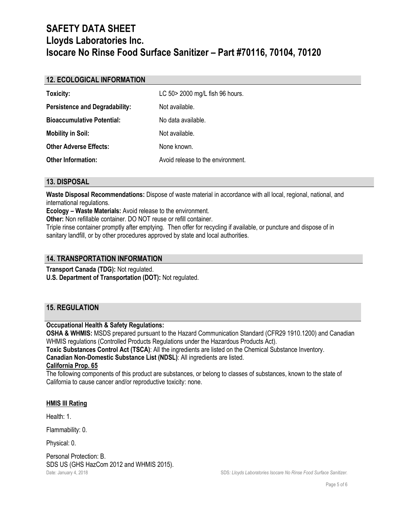### **12. ECOLOGICAL INFORMATION**

| Toxicity:                             | LC 50 > 2000 mg/L fish 96 hours.  |
|---------------------------------------|-----------------------------------|
| <b>Persistence and Degradability:</b> | Not available.                    |
| <b>Bioaccumulative Potential:</b>     | No data available.                |
| <b>Mobility in Soil:</b>              | Not available.                    |
| <b>Other Adverse Effects:</b>         | None known.                       |
| <b>Other Information:</b>             | Avoid release to the environment. |

### **13. DISPOSAL**

**Waste Disposal Recommendations:** Dispose of waste material in accordance with all local, regional, national, and international regulations.

**Ecology – Waste Materials:** Avoid release to the environment.

**Other:** Non refillable container. DO NOT reuse or refill container.

Triple rinse container promptly after emptying. Then offer for recycling if available, or puncture and dispose of in sanitary landfill, or by other procedures approved by state and local authorities.

### **14. TRANSPORTATION INFORMATION**

**Transport Canada (TDG):** Not regulated. **U.S. Department of Transportation (DOT):** Not regulated.

## **15. REGULATION**

### **Occupational Health & Safety Regulations:**

**OSHA & WHMIS:** MSDS prepared pursuant to the Hazard Communication Standard (CFR29 1910.1200) and Canadian WHMIS regulations (Controlled Products Regulations under the Hazardous Products Act).

**Toxic Substances Control Act (TSCA)**: All the ingredients are listed on the Chemical Substance Inventory. **Canadian Non-Domestic Substance List (NDSL)**: All ingredients are listed.

#### **California Prop. 65**

The following components of this product are substances, or belong to classes of substances, known to the state of California to cause cancer and/or reproductive toxicity: none.

#### **HMIS III Rating**

Health: 1.

Flammability: 0.

Physical: 0.

Date: January 4, 2018 **Superint Contract Construction** Space Isocare No Rinse Food Surface Sanitizer. Personal Protection: B. SDS US (GHS HazCom 2012 and WHMIS 2015).